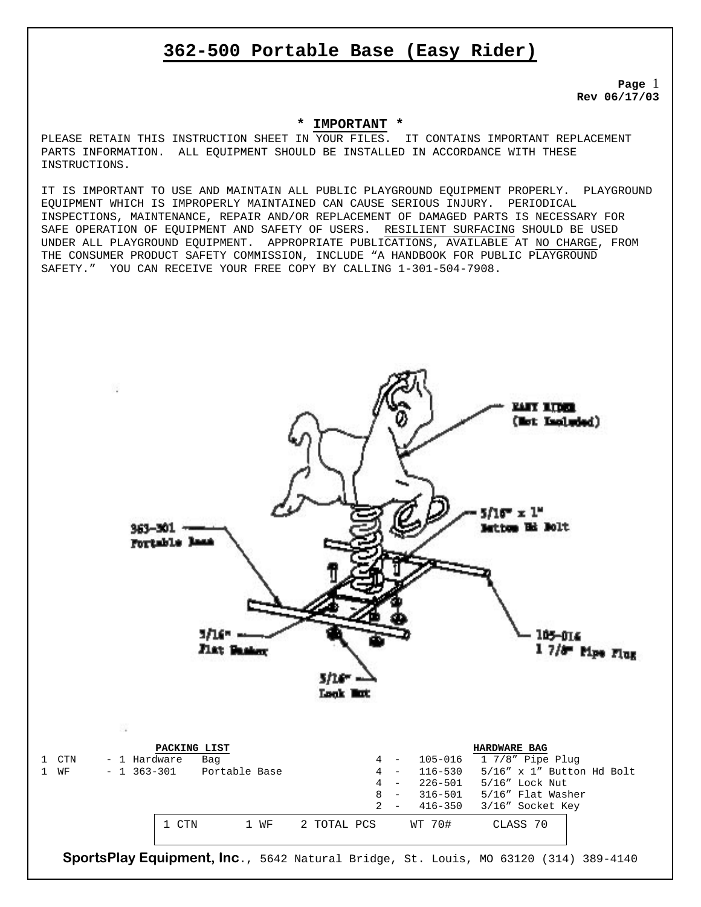# **362-500 Portable Base (Easy Rider)**

**Page** 1 **Rev 06/17/03** 

### **\* IMPORTANT \***

PLEASE RETAIN THIS INSTRUCTION SHEET IN YOUR FILES. IT CONTAINS IMPORTANT REPLACEMENT PARTS INFORMATION. ALL EQUIPMENT SHOULD BE INSTALLED IN ACCORDANCE WITH THESE INSTRUCTIONS.

IT IS IMPORTANT TO USE AND MAINTAIN ALL PUBLIC PLAYGROUND EQUIPMENT PROPERLY. PLAYGROUND EQUIPMENT WHICH IS IMPROPERLY MAINTAINED CAN CAUSE SERIOUS INJURY. PERIODICAL INSPECTIONS, MAINTENANCE, REPAIR AND/OR REPLACEMENT OF DAMAGED PARTS IS NECESSARY FOR SAFE OPERATION OF EQUIPMENT AND SAFETY OF USERS. RESILIENT SURFACING SHOULD BE USED UNDER ALL PLAYGROUND EQUIPMENT. APPROPRIATE PUBLICATIONS, AVAILABLE AT NO CHARGE, FROM THE CONSUMER PRODUCT SAFETY COMMISSION, INCLUDE "A HANDBOOK FOR PUBLIC PLAYGROUND SAFETY." YOU CAN RECEIVE YOUR FREE COPY BY CALLING 1-301-504-7908.